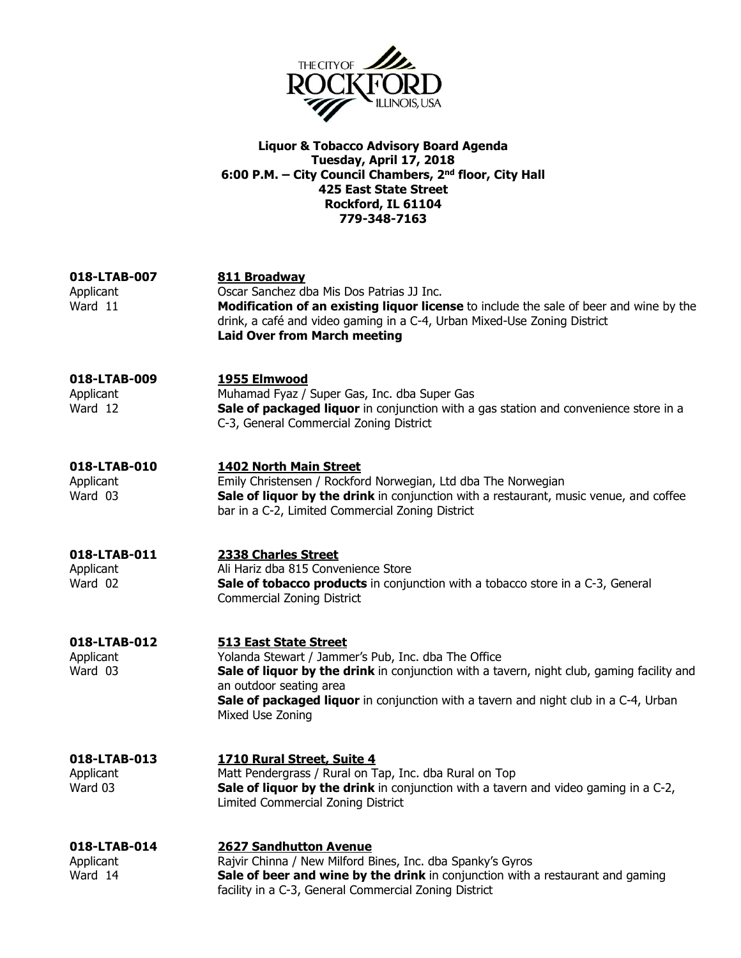

### Liquor & Tobacco Advisory Board Agenda Tuesday, April 17, 2018 6:00 P.M. – City Council Chambers, 2nd floor, City Hall 425 East State Street Rockford, IL 61104 779-348-7163

| 018-LTAB-007<br>Applicant<br>Ward 11 | 811 Broadway<br>Oscar Sanchez dba Mis Dos Patrias JJ Inc.<br>Modification of an existing liquor license to include the sale of beer and wine by the<br>drink, a café and video gaming in a C-4, Urban Mixed-Use Zoning District<br><b>Laid Over from March meeting</b>                                                 |
|--------------------------------------|------------------------------------------------------------------------------------------------------------------------------------------------------------------------------------------------------------------------------------------------------------------------------------------------------------------------|
| 018-LTAB-009<br>Applicant<br>Ward 12 | 1955 Elmwood<br>Muhamad Fyaz / Super Gas, Inc. dba Super Gas<br>Sale of packaged liquor in conjunction with a gas station and convenience store in a<br>C-3, General Commercial Zoning District                                                                                                                        |
| 018-LTAB-010<br>Applicant<br>Ward 03 | <b>1402 North Main Street</b><br>Emily Christensen / Rockford Norwegian, Ltd dba The Norwegian<br>Sale of liquor by the drink in conjunction with a restaurant, music venue, and coffee<br>bar in a C-2, Limited Commercial Zoning District                                                                            |
| 018-LTAB-011<br>Applicant<br>Ward 02 | 2338 Charles Street<br>Ali Hariz dba 815 Convenience Store<br>Sale of tobacco products in conjunction with a tobacco store in a C-3, General<br><b>Commercial Zoning District</b>                                                                                                                                      |
| 018-LTAB-012<br>Applicant<br>Ward 03 | <b>513 East State Street</b><br>Yolanda Stewart / Jammer's Pub, Inc. dba The Office<br>Sale of liquor by the drink in conjunction with a tavern, night club, gaming facility and<br>an outdoor seating area<br>Sale of packaged liquor in conjunction with a tavern and night club in a C-4, Urban<br>Mixed Use Zoning |
| 018-LTAB-013<br>Applicant<br>Ward 03 | 1710 Rural Street, Suite 4<br>Matt Pendergrass / Rural on Tap, Inc. dba Rural on Top<br>Sale of liquor by the drink in conjunction with a tavern and video gaming in a C-2,<br>Limited Commercial Zoning District                                                                                                      |
| 018-LTAB-014<br>Applicant<br>Ward 14 | <b>2627 Sandhutton Avenue</b><br>Rajvir Chinna / New Milford Bines, Inc. dba Spanky's Gyros<br>Sale of beer and wine by the drink in conjunction with a restaurant and gaming<br>facility in a C-3, General Commercial Zoning District                                                                                 |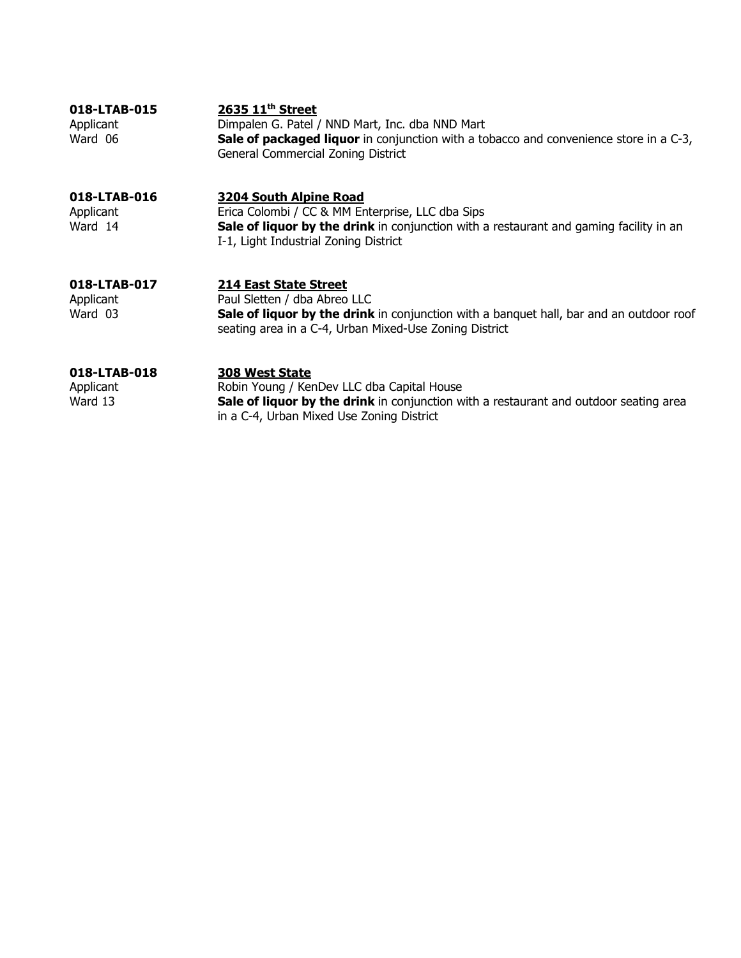| 018-LTAB-015 | 2635 11 <sup>th</sup> Street                                                                 |
|--------------|----------------------------------------------------------------------------------------------|
| Applicant    | Dimpalen G. Patel / NND Mart, Inc. dba NND Mart                                              |
| Ward 06      | <b>Sale of packaged liquor</b> in conjunction with a tobacco and convenience store in a C-3, |
|              | General Commercial Zoning District                                                           |
|              |                                                                                              |

## 018-LTAB-016 3204 South Alpine Road

Applicant Erica Colombi / CC & MM Enterprise, LLC dba Sips<br>Ward 14 **Sale of liquor by the drink** in conjunction with a Sale of liquor by the drink in conjunction with a restaurant and gaming facility in an I-1, Light Industrial Zoning District

# 018-LTAB-017 214 East State Street

Applicant Paul Sletten / dba Abreo LLC<br>
Ward 03 **Sale of liquor by the drink** Sale of liquor by the drink in conjunction with a banquet hall, bar and an outdoor roof seating area in a C-4, Urban Mixed-Use Zoning District

**018-LTAB-018** 308 West State<br>Applicant Robin Young / Ker Applicant Robin Young / KenDev LLC dba Capital House<br>
Ward 13 **Sale of liquor by the drink** in conjunction w Sale of liquor by the drink in conjunction with a restaurant and outdoor seating area in a C-4, Urban Mixed Use Zoning District